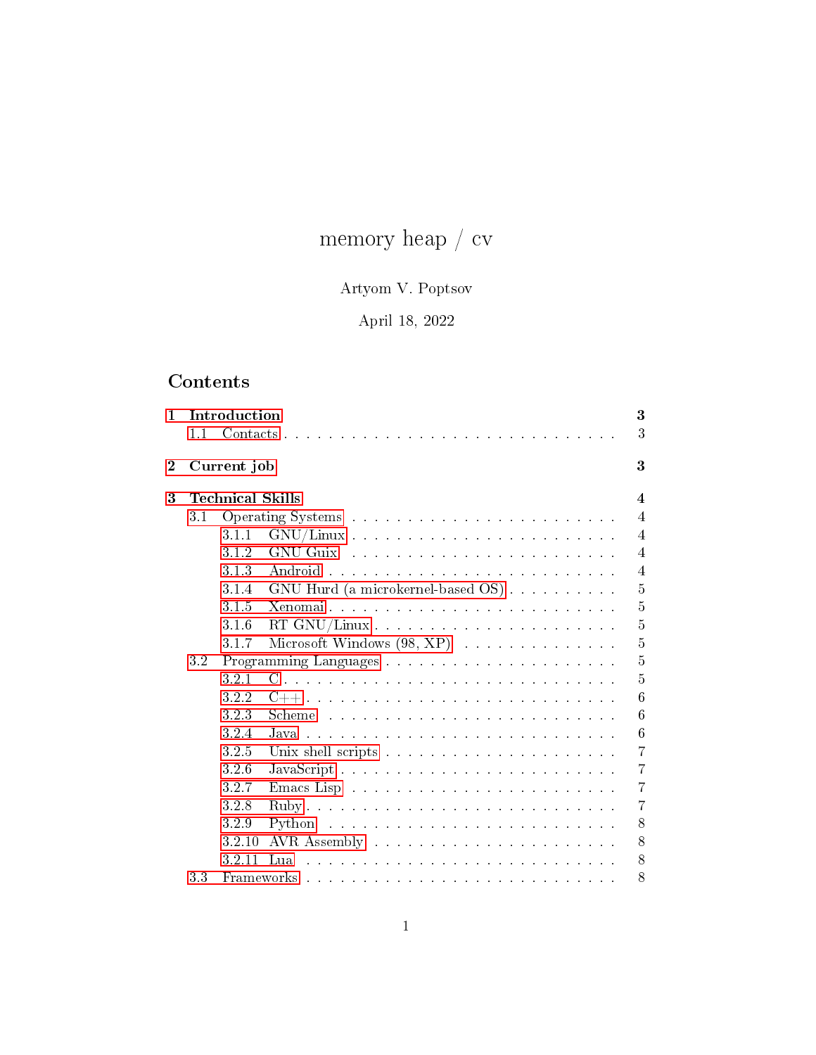# memory heap  $\mathbin{/}$ cv

## Artyom V. Poptsov

## April 18, 2022

## Contents

| $\mathbf{1}$   | 1.1     | Introduction            |                                                                                                                                                                                                                                | 3<br>3                  |
|----------------|---------|-------------------------|--------------------------------------------------------------------------------------------------------------------------------------------------------------------------------------------------------------------------------|-------------------------|
| $\overline{2}$ |         | Current job             |                                                                                                                                                                                                                                | 3                       |
| 3              |         | <b>Technical Skills</b> |                                                                                                                                                                                                                                | $\overline{\mathbf{4}}$ |
|                | 3.1     |                         |                                                                                                                                                                                                                                | $\overline{4}$          |
|                |         | 3.1.1                   |                                                                                                                                                                                                                                | 4                       |
|                |         | 3.1.2                   | GNU Guix and a construction of the construction of the Construction of the Construction of the Construction of the Construction of the Construction of the Construction of the Construction of the Construction of the Constru | $\overline{4}$          |
|                |         | 3.1.3                   | Android                                                                                                                                                                                                                        | $\overline{4}$          |
|                |         | 3.1.4                   | GNU Hurd (a microkernel-based OS)                                                                                                                                                                                              | $\overline{5}$          |
|                |         | 3.1.5                   |                                                                                                                                                                                                                                | 5                       |
|                |         | 3.1.6                   |                                                                                                                                                                                                                                | $\overline{5}$          |
|                |         | 3.1.7                   |                                                                                                                                                                                                                                | $\overline{5}$          |
|                | $3.2\,$ |                         |                                                                                                                                                                                                                                | $\overline{5}$          |
|                |         | 3.2.1                   |                                                                                                                                                                                                                                | 5                       |
|                |         | 3.2.2                   |                                                                                                                                                                                                                                | 6                       |
|                |         | 3.2.3                   | Scheme                                                                                                                                                                                                                         | 6                       |
|                |         | 3.2.4                   | .lava                                                                                                                                                                                                                          | 6                       |
|                |         | 3.2.5                   |                                                                                                                                                                                                                                | $\overline{7}$          |
|                |         | 3.2.6                   | JavaScript                                                                                                                                                                                                                     | 7                       |
|                |         | 3.2.7                   |                                                                                                                                                                                                                                | 7                       |
|                |         | 3.2.8                   |                                                                                                                                                                                                                                | $\overline{7}$          |
|                |         | 3.2.9                   |                                                                                                                                                                                                                                | 8                       |
|                |         | 3.2.10                  |                                                                                                                                                                                                                                | 8                       |
|                |         | 3.2.11                  | L <sub>112</sub>                                                                                                                                                                                                               | 8                       |
|                | 33      |                         |                                                                                                                                                                                                                                | 8                       |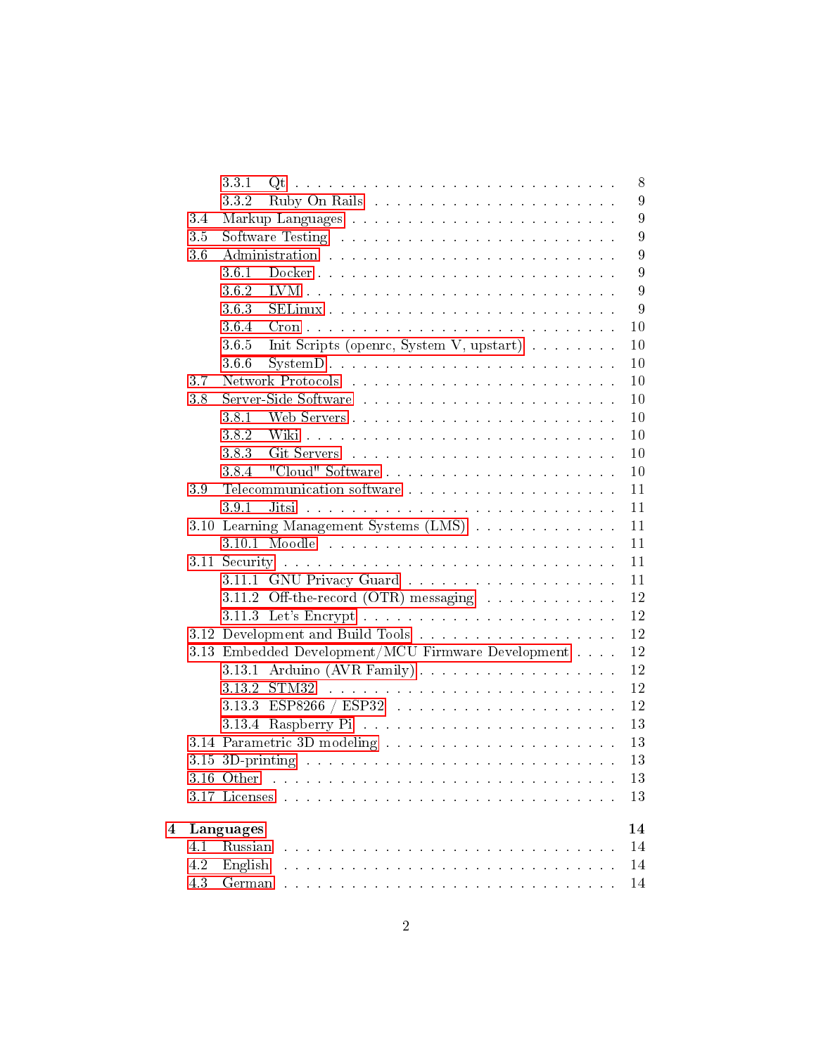|   |                 | 3.3.1<br>8                                                                                                                                                                                                                           |  |  |  |  |
|---|-----------------|--------------------------------------------------------------------------------------------------------------------------------------------------------------------------------------------------------------------------------------|--|--|--|--|
|   |                 | 9<br>332                                                                                                                                                                                                                             |  |  |  |  |
|   | 34              | $9\phantom{.0}$                                                                                                                                                                                                                      |  |  |  |  |
|   | 35              | $\boldsymbol{9}$                                                                                                                                                                                                                     |  |  |  |  |
|   | 3.6             | 9<br>Administration                                                                                                                                                                                                                  |  |  |  |  |
|   |                 | 9<br>36.1                                                                                                                                                                                                                            |  |  |  |  |
|   |                 | 9<br>3.6.2                                                                                                                                                                                                                           |  |  |  |  |
|   |                 | 9<br>3.6.3                                                                                                                                                                                                                           |  |  |  |  |
|   |                 | 10<br>364                                                                                                                                                                                                                            |  |  |  |  |
|   |                 | Init Scripts (openrc, System V, upstart)<br>10<br>3.6.5                                                                                                                                                                              |  |  |  |  |
|   |                 | 3.6.6<br>10                                                                                                                                                                                                                          |  |  |  |  |
|   | 3.7             | 10                                                                                                                                                                                                                                   |  |  |  |  |
|   | 3.8             | 10                                                                                                                                                                                                                                   |  |  |  |  |
|   |                 | 10<br>3.8.1                                                                                                                                                                                                                          |  |  |  |  |
|   |                 | 10<br>382                                                                                                                                                                                                                            |  |  |  |  |
|   |                 | 383<br>10                                                                                                                                                                                                                            |  |  |  |  |
|   |                 | 3.8.4<br>10                                                                                                                                                                                                                          |  |  |  |  |
|   | 39              | 11<br>Telecommunication software                                                                                                                                                                                                     |  |  |  |  |
|   |                 | 11<br>Jitsi<br>3.9.1<br>والمتعاون والمتعاون والمتعاون والمتعاون والمتعاون والمتعاون والمتعاون والمتعاون والمتعاون والمتعاونة والمتعاون                                                                                               |  |  |  |  |
|   |                 | 3.10 Learning Management Systems (LMS)<br>11                                                                                                                                                                                         |  |  |  |  |
|   |                 | 11                                                                                                                                                                                                                                   |  |  |  |  |
|   |                 | 11                                                                                                                                                                                                                                   |  |  |  |  |
|   |                 | 11<br>3.11.1 GNU Privacy Guard                                                                                                                                                                                                       |  |  |  |  |
|   |                 | 12<br>3.11.2 Off-the-record (OTR) messaging with a subset of the second second second second second second second second second second second second second second second second second second second second second second second se |  |  |  |  |
|   |                 | 12                                                                                                                                                                                                                                   |  |  |  |  |
|   |                 | 12                                                                                                                                                                                                                                   |  |  |  |  |
|   |                 | 12<br>3.13 Embedded Development/MCU Firmware Development                                                                                                                                                                             |  |  |  |  |
|   |                 | 3.13.1 Arduino (AVR Family)<br>12                                                                                                                                                                                                    |  |  |  |  |
|   |                 | 12<br>3.13.2                                                                                                                                                                                                                         |  |  |  |  |
|   |                 | 12<br>$3.13.3$ ESP8266 / ESP32                                                                                                                                                                                                       |  |  |  |  |
|   |                 | 13                                                                                                                                                                                                                                   |  |  |  |  |
|   |                 | 13                                                                                                                                                                                                                                   |  |  |  |  |
|   |                 | 13                                                                                                                                                                                                                                   |  |  |  |  |
|   |                 | 3.16 Other<br>13                                                                                                                                                                                                                     |  |  |  |  |
|   |                 | 13<br>3.17 Licenses                                                                                                                                                                                                                  |  |  |  |  |
| 4 | 14<br>Languages |                                                                                                                                                                                                                                      |  |  |  |  |
|   | 4.1             | Russian<br>14                                                                                                                                                                                                                        |  |  |  |  |
|   | 4.2             | English<br>14                                                                                                                                                                                                                        |  |  |  |  |
|   | 4.3             | 14                                                                                                                                                                                                                                   |  |  |  |  |
|   |                 |                                                                                                                                                                                                                                      |  |  |  |  |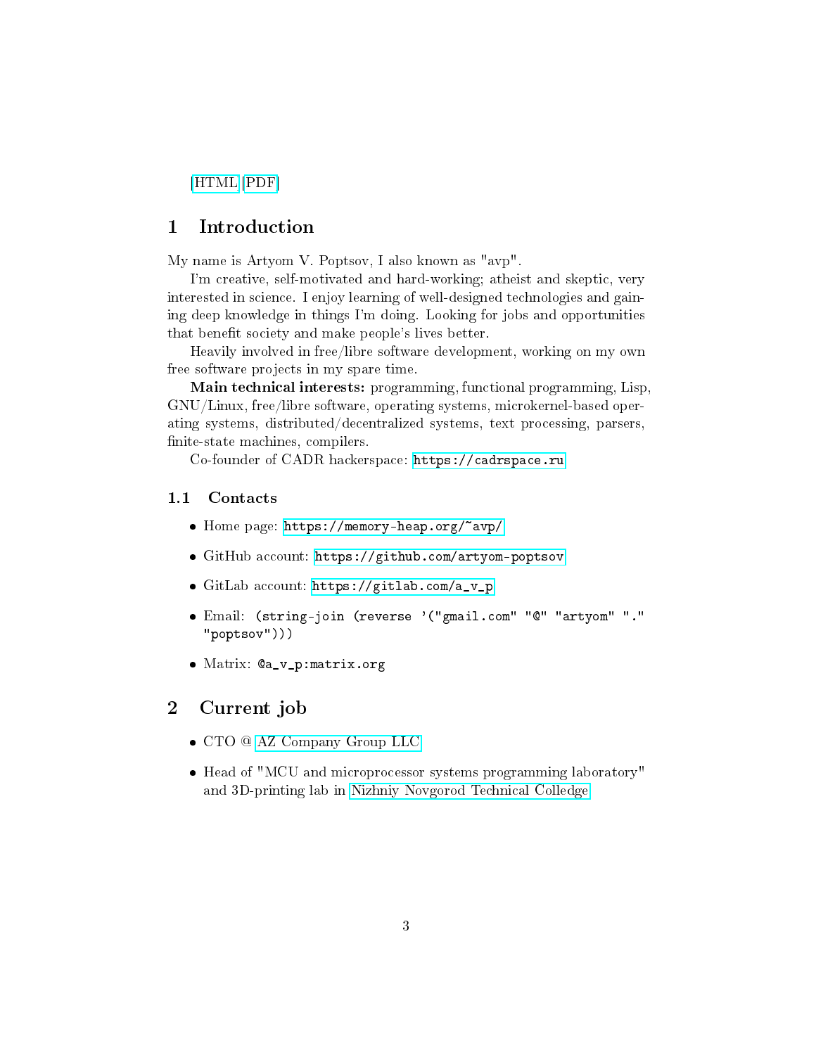[\[HTML\]](https://memory-heap.org/~avp/cv.html)[\[PDF\]](https://memory-heap.org/~avp/cv.pdf)

## <span id="page-2-0"></span>1 Introduction

My name is Artyom V. Poptsov, I also known as "avp".

I'm creative, self-motivated and hard-working; atheist and skeptic, very interested in science. I enjoy learning of well-designed technologies and gaining deep knowledge in things I'm doing. Looking for jobs and opportunities that benefit society and make people's lives better.

Heavily involved in free/libre software development, working on my own free software projects in my spare time.

Main technical interests: programming, functional programming, Lisp, GNU/Linux, free/libre software, operating systems, microkernel-based operating systems, distributed/decentralized systems, text processing, parsers, finite-state machines, compilers.

Co-founder of CADR hackerspace: <https://cadrspace.ru>

#### <span id="page-2-1"></span>1.1 Contacts

- Home page: <https://memory-heap.org/~avp/>
- GitHub account: <https://github.com/artyom-poptsov>
- GitLab account: [https://gitlab.com/a\\_v\\_p](https://gitlab.com/a_v_p)
- Email: (string-join (reverse '("gmail.com" "@" "artyom" "." "poptsov")))
- Matrix: @a\_v\_p:matrix.org

## <span id="page-2-2"></span>2 Current job

- CTO @ [AZ Company Group LLC](http://gkaz.ru)
- Head of "MCU and microprocessor systems programming laboratory" and 3D-printing lab in [Nizhniy Novgorod Technical Colledge.](https://nntc.nnov.ru/)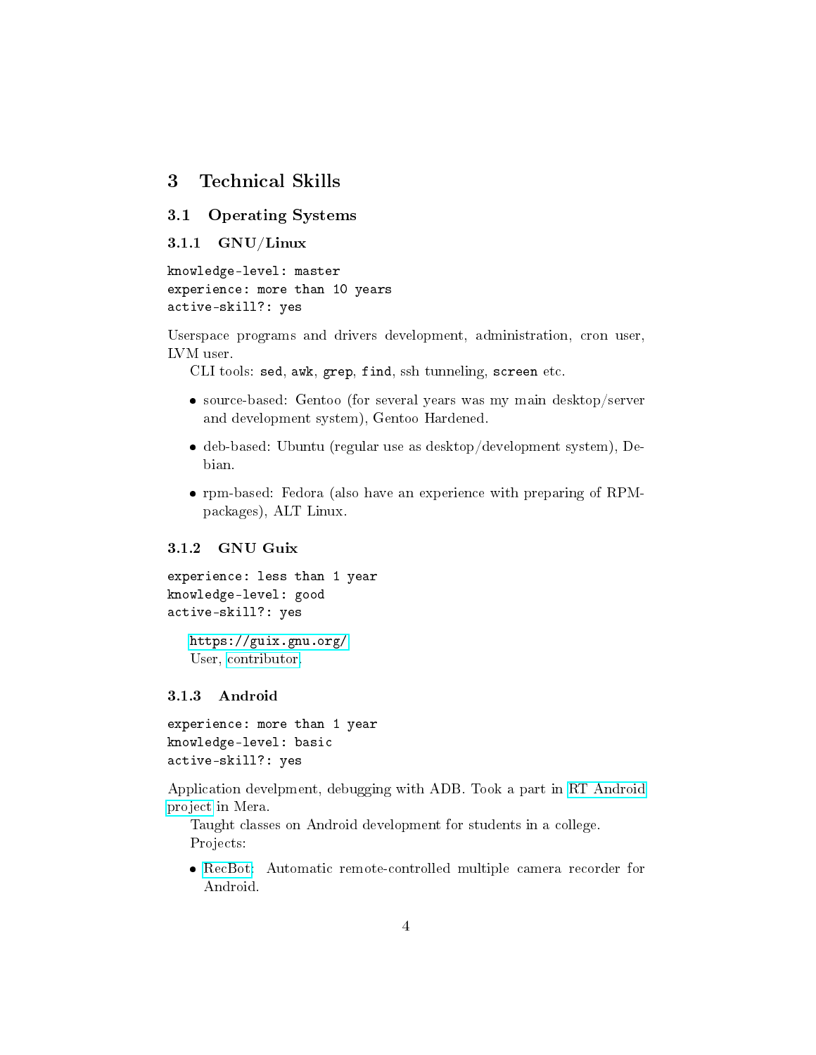## <span id="page-3-0"></span>3 Technical Skills

#### <span id="page-3-1"></span>3.1 Operating Systems

```
3.1.1 GNU/Linux
```

```
knowledge-level: master
experience: more than 10 years
active-skill?: yes
```
Userspace programs and drivers development, administration, cron user, LVM user.

CLI tools: sed, awk, grep, find, ssh tunneling, screen etc.

- source-based: Gentoo (for several years was my main desktop/server and development system), Gentoo Hardened.
- deb-based: Ubuntu (regular use as desktop/development system), Debian.
- rpm-based: Fedora (also have an experience with preparing of RPMpackages), ALT Linux.

## <span id="page-3-3"></span>3.1.2 GNU Guix

```
experience: less than 1 year
knowledge-level: good
active-skill?: yes
```
<https://guix.gnu.org/> User, [contributor.](https://git.savannah.gnu.org/cgit/guix.git/log/?qt=author&q=Artyom+V.+Poptsov)

#### <span id="page-3-4"></span>3.1.3 Android

```
experience: more than 1 year
knowledge-level: basic
active-skill?: yes
```
Application develpment, debugging with ADB. Took a part in [RT Android](http://merasws.com/newsroom/news/mera-has-revamped-android-improved-real-time-kernel-characteristics) [project](http://merasws.com/newsroom/news/mera-has-revamped-android-improved-real-time-kernel-characteristics) in Mera.

Taught classes on Android development for students in a college. Projects:

 [RecBot:](https://gitlab.com/gkaz/recbot) Automatic remote-controlled multiple camera recorder for Android.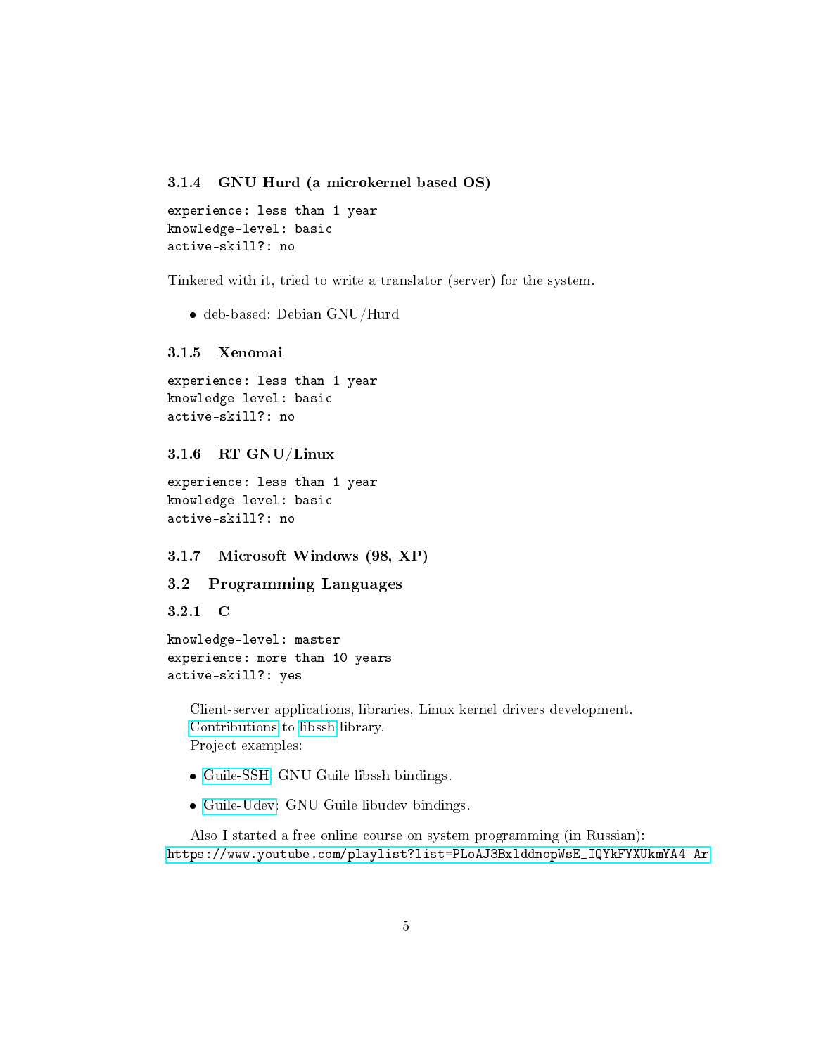#### <span id="page-4-0"></span>3.1.4 GNU Hurd (a microkernel-based OS)

```
experience: less than 1 year
knowledge-level: basic
active-skill?: no
```
Tinkered with it, tried to write a translator (server) for the system.

deb-based: Debian GNU/Hurd

#### <span id="page-4-1"></span>3.1.5 Xenomai

```
experience: less than 1 year
knowledge-level: basic
active-skill?: no
```
#### <span id="page-4-2"></span>3.1.6 RT GNU/Linux

experience: less than 1 year knowledge-level: basic active-skill?: no

#### <span id="page-4-3"></span>3.1.7 Microsoft Windows (98, XP)

#### <span id="page-4-4"></span>3.2 Programming Languages

<span id="page-4-5"></span>3.2.1 C

```
knowledge-level: master
experience: more than 10 years
active-skill?: yes
```
Client-server applications, libraries, Linux kernel drivers development. [Contributions](https://git.libssh.org/projects/libssh.git/log/?qt=grep&q=poptsov.artyom) to [libssh](https://libssh.org/) library. Project examples:

- [Guile-SSH:](https://github.com/artyom-poptsov/guile-ssh) GNU Guile libssh bindings.
- [Guile-Udev:](https://github.com/artyom-poptsov/guile-udev) GNU Guile libudev bindings.

Also I started a free online course on system programming (in Russian): [https://www.youtube.com/playlist?list=PLoAJ3BxlddnopWsE\\_IQYkFYXUkmYA4-Ar](https://www.youtube.com/playlist?list=PLoAJ3BxlddnopWsE_IQYkFYXUkmYA4-Ar)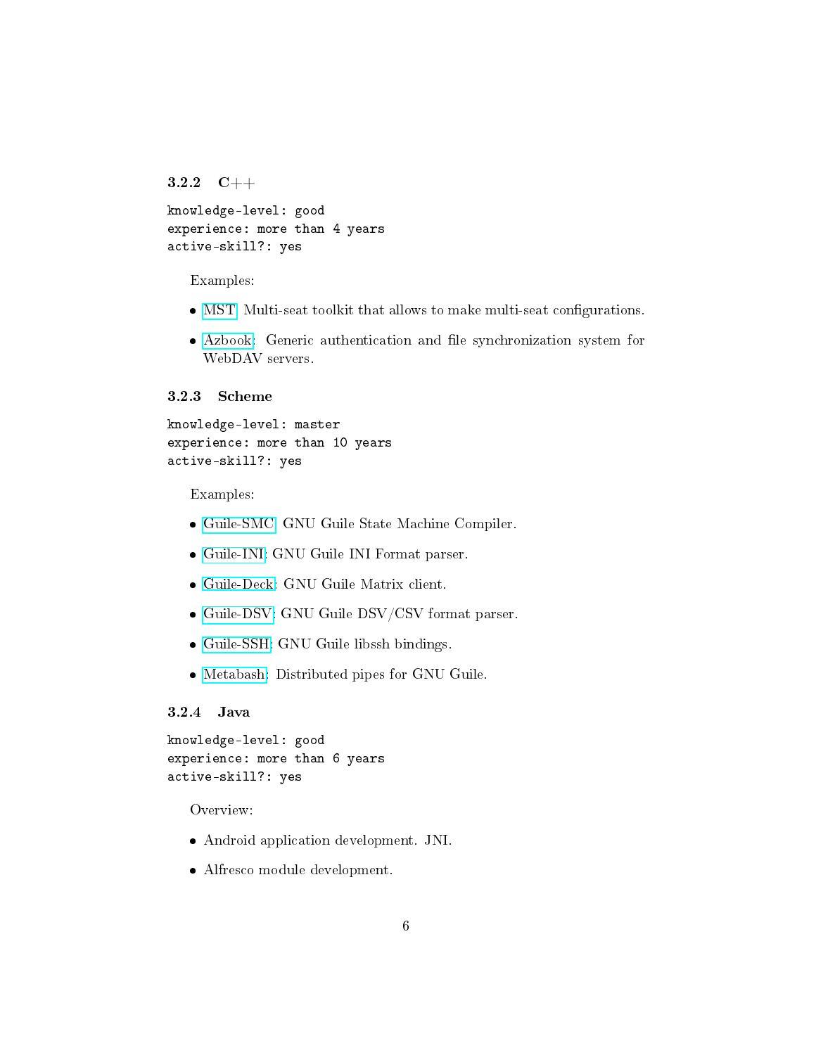```
3.2.2 C++
```

```
knowledge-level: good
experience: more than 4 years
active-skill?: yes
```
Examples:

- [MST:](https://gitlab.com/gkaz/mst) Multi-seat toolkit that allows to make multi-seat configurations.
- [Azbook:](https://gitlab.com/gkaz/azbook) Generic authentication and file synchronization system for WebDAV servers.

#### <span id="page-5-1"></span>3.2.3 Scheme

```
knowledge-level: master
experience: more than 10 years
active-skill?: yes
```
Examples:

- [Guile-SMC:](https://github.com/artyom-poptsov/guile-smc) GNU Guile State Machine Compiler.
- [Guile-INI:](https://github.com/artyom-poptsov/guile-ini) GNU Guile INI Format parser.
- [Guile-Deck:](https://github.com/artyom-poptsov/guile-deck) GNU Guile Matrix client.
- [Guile-DSV:](https://github.com/artyom-poptsov/guile-dsv) GNU Guile DSV/CSV format parser.
- [Guile-SSH:](https://github.com/artyom-poptsov/guile-ssh) GNU Guile libssh bindings.
- [Metabash:](https://github.com/artyom-poptsov/metabash) Distributed pipes for GNU Guile.

## <span id="page-5-2"></span>3.2.4 Java

```
knowledge-level: good
experience: more than 6 years
active-skill?: yes
```
Overview:

- Android application development. JNI.
- Alfresco module development.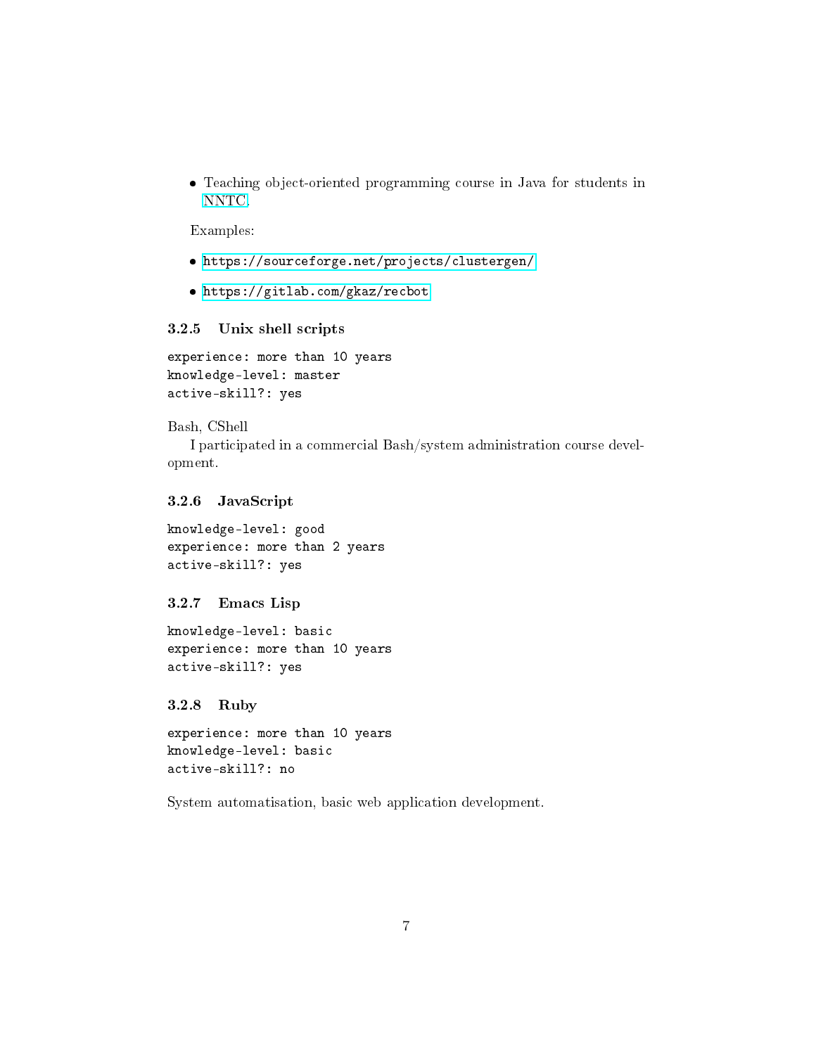Teaching object-oriented programming course in Java for students in [NNTC.](http://nntc.nnov.ru/)

Examples:

- <https://sourceforge.net/projects/clustergen/>
- <https://gitlab.com/gkaz/recbot>

### <span id="page-6-0"></span>3.2.5 Unix shell scripts

experience: more than 10 years knowledge-level: master active-skill?: yes

#### Bash, CShell

I participated in a commercial Bash/system administration course development.

#### <span id="page-6-1"></span>3.2.6 JavaScript

knowledge-level: good experience: more than 2 years active-skill?: yes

#### <span id="page-6-2"></span>3.2.7 Emacs Lisp

knowledge-level: basic experience: more than 10 years active-skill?: yes

#### <span id="page-6-3"></span>3.2.8 Ruby

```
experience: more than 10 years
knowledge-level: basic
active-skill?: no
```
System automatisation, basic web application development.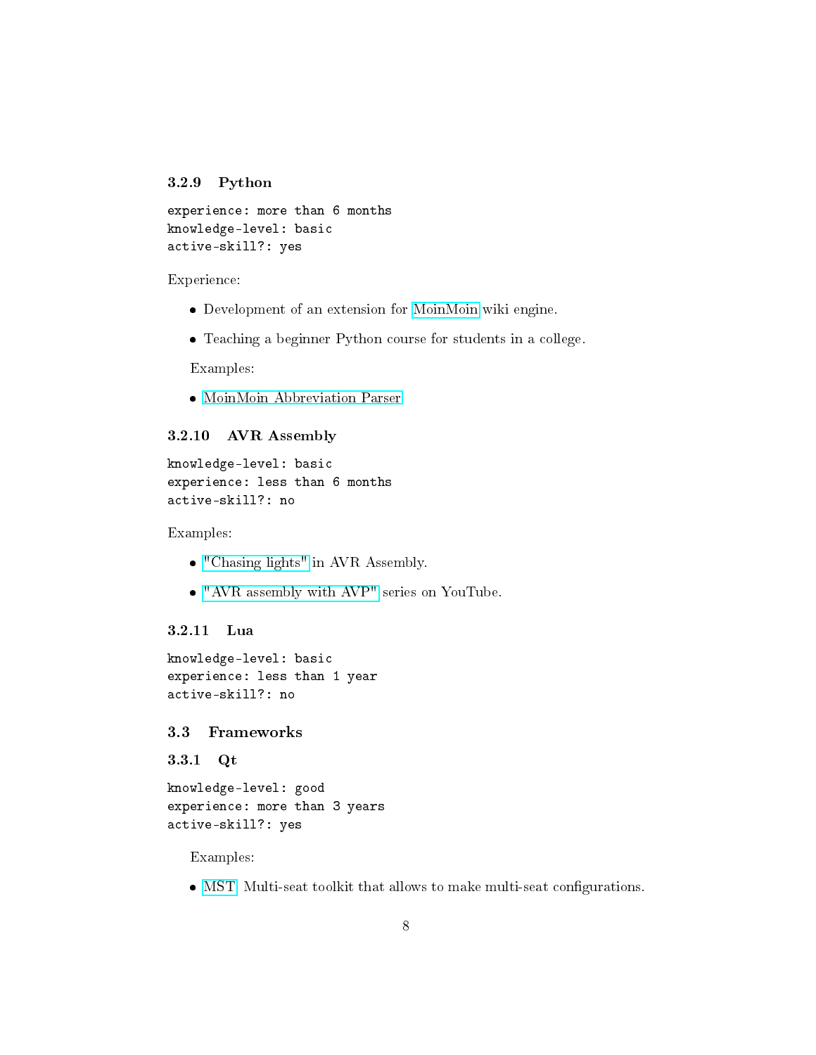### <span id="page-7-0"></span>3.2.9 Python

```
experience: more than 6 months
knowledge-level: basic
active-skill?: yes
```
Experience:

- Development of an extension for [MoinMoin](https://moinmo.in/) wiki engine.
- Teaching a beginner Python course for students in a college.

Examples:

[MoinMoin Abbreviation Parser](https://github.com/artyom-poptsov/moinmoin-abbr-parser)

#### <span id="page-7-1"></span>3.2.10 AVR Assembly

```
knowledge-level: basic
experience: less than 6 months
active-skill?: no
```
Examples:

- ["Chasing lights"](https://github.com/cadrspace/arduino-projects/tree/master/asm/chasing-lights) in AVR Assembly.
- ["AVR assembly with AVP"](https://www.youtube.com/watch?v=_0HFB44Xntc&list=PLoAJ3Bxlddnqzfco6HLxfUt4f8R0VAtAr) series on YouTube.

#### <span id="page-7-2"></span>3.2.11 Lua

```
knowledge-level: basic
experience: less than 1 year
active-skill?: no
```
## <span id="page-7-3"></span>3.3 Frameworks

<span id="page-7-4"></span>3.3.1 Qt

```
knowledge-level: good
experience: more than 3 years
active-skill?: yes
```
Examples:

• [MST:](https://gitlab.com/gkaz/mst) Multi-seat toolkit that allows to make multi-seat configurations.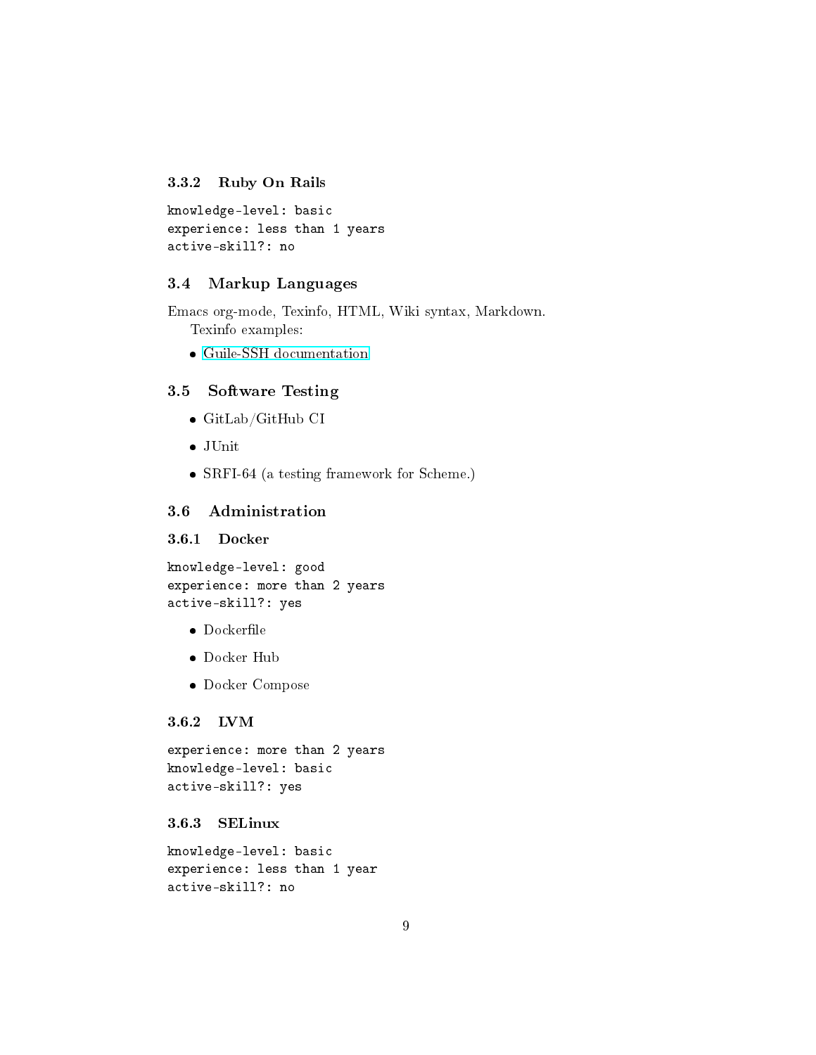## <span id="page-8-0"></span>3.3.2 Ruby On Rails

```
knowledge-level: basic
experience: less than 1 years
active-skill?: no
```
#### <span id="page-8-1"></span>3.4 Markup Languages

Emacs org-mode, Texinfo, HTML, Wiki syntax, Markdown. Texinfo examples:

[Guile-SSH documentation](https://github.com/artyom-poptsov/guile-ssh/tree/master/doc)

## <span id="page-8-2"></span>3.5 Software Testing

- GitLab/GitHub CI
- JUnit
- SRFI-64 (a testing framework for Scheme.)

## <span id="page-8-3"></span>3.6 Administration

#### <span id="page-8-4"></span>3.6.1 Docker

```
knowledge-level: good
experience: more than 2 years
active-skill?: yes
```
- $\bullet$  Dockerfile
- Docker Hub
- Docker Compose

#### <span id="page-8-5"></span>3.6.2 LVM

```
experience: more than 2 years
knowledge-level: basic
active-skill?: yes
```
#### <span id="page-8-6"></span>3.6.3 SELinux

knowledge-level: basic experience: less than 1 year active-skill?: no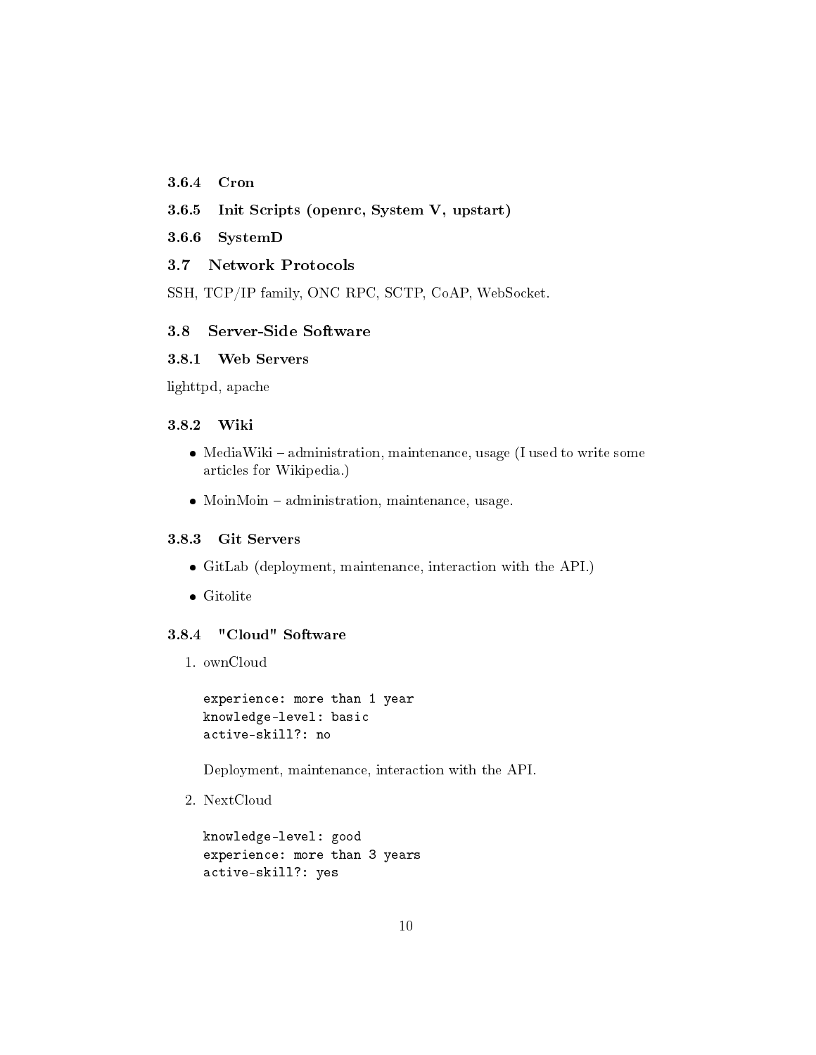## <span id="page-9-0"></span>3.6.4 Cron

- <span id="page-9-1"></span>3.6.5 Init Scripts (openrc, System V, upstart)
- <span id="page-9-2"></span>3.6.6 SystemD

## <span id="page-9-3"></span>3.7 Network Protocols

SSH, TCP/IP family, ONC RPC, SCTP, CoAP, WebSocket.

## <span id="page-9-4"></span>3.8 Server-Side Software

### <span id="page-9-5"></span>3.8.1 Web Servers

lighttpd, apache

#### <span id="page-9-6"></span>3.8.2 Wiki

- MediaWiki administration, maintenance, usage (I used to write some articles for Wikipedia.)
- MoinMoin administration, maintenance, usage.

#### <span id="page-9-7"></span>3.8.3 Git Servers

- GitLab (deployment, maintenance, interaction with the API.)
- Gitolite

#### <span id="page-9-8"></span>3.8.4 "Cloud" Software

1. ownCloud

```
experience: more than 1 year
knowledge-level: basic
active-skill?: no
```
Deployment, maintenance, interaction with the API.

2. NextCloud

```
knowledge-level: good
experience: more than 3 years
active-skill?: yes
```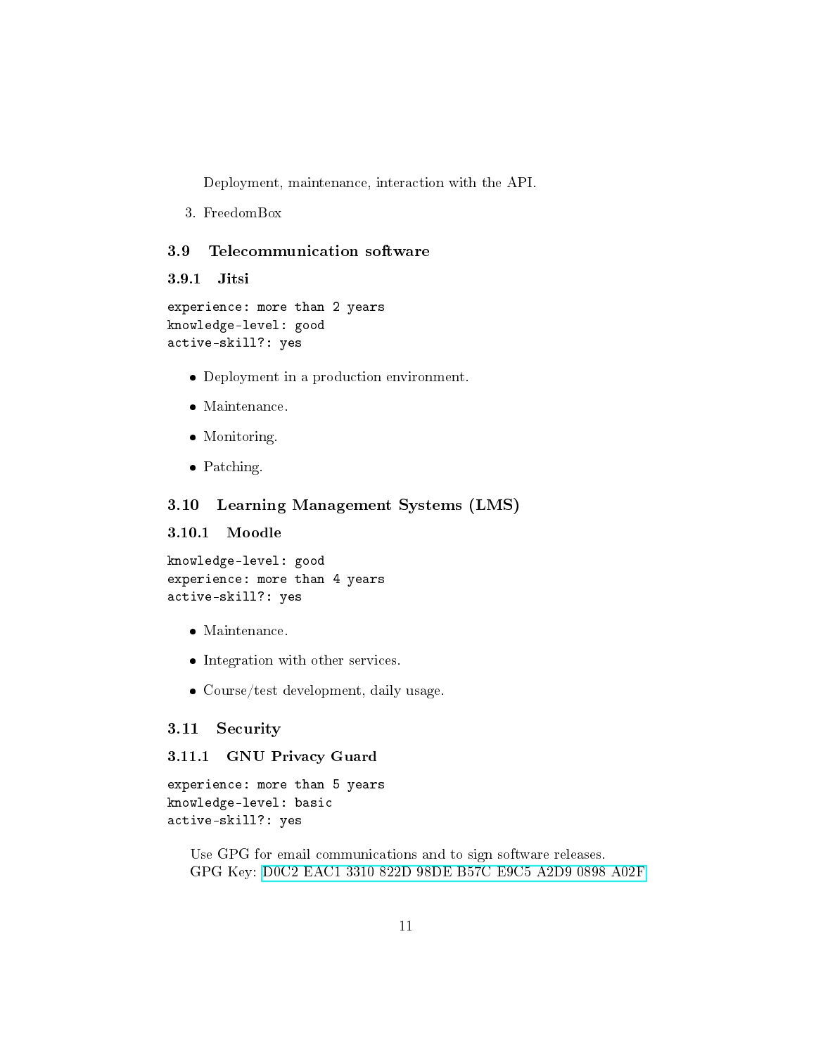Deployment, maintenance, interaction with the API.

3. FreedomBox

#### <span id="page-10-0"></span>3.9 Telecommunication software

```
3.9.1 Jitsi
```
experience: more than 2 years knowledge-level: good active-skill?: yes

- Deployment in a production environment.
- Maintenance.
- Monitoring.
- Patching.

## <span id="page-10-2"></span>3.10 Learning Management Systems (LMS)

#### <span id="page-10-3"></span>3.10.1 Moodle

```
knowledge-level: good
experience: more than 4 years
active-skill?: yes
```
- Maintenance.
- Integration with other services.
- Course/test development, daily usage.

#### <span id="page-10-4"></span>3.11 Security

#### <span id="page-10-5"></span>3.11.1 GNU Privacy Guard

experience: more than 5 years knowledge-level: basic active-skill?: yes

Use GPG for email communications and to sign software releases. GPG Key: [D0C2 EAC1 3310 822D 98DE B57C E9C5 A2D9 0898 A02F](https://pgp.mit.edu/pks/lookup?search=0xE9C5A2D90898A02F&op=index)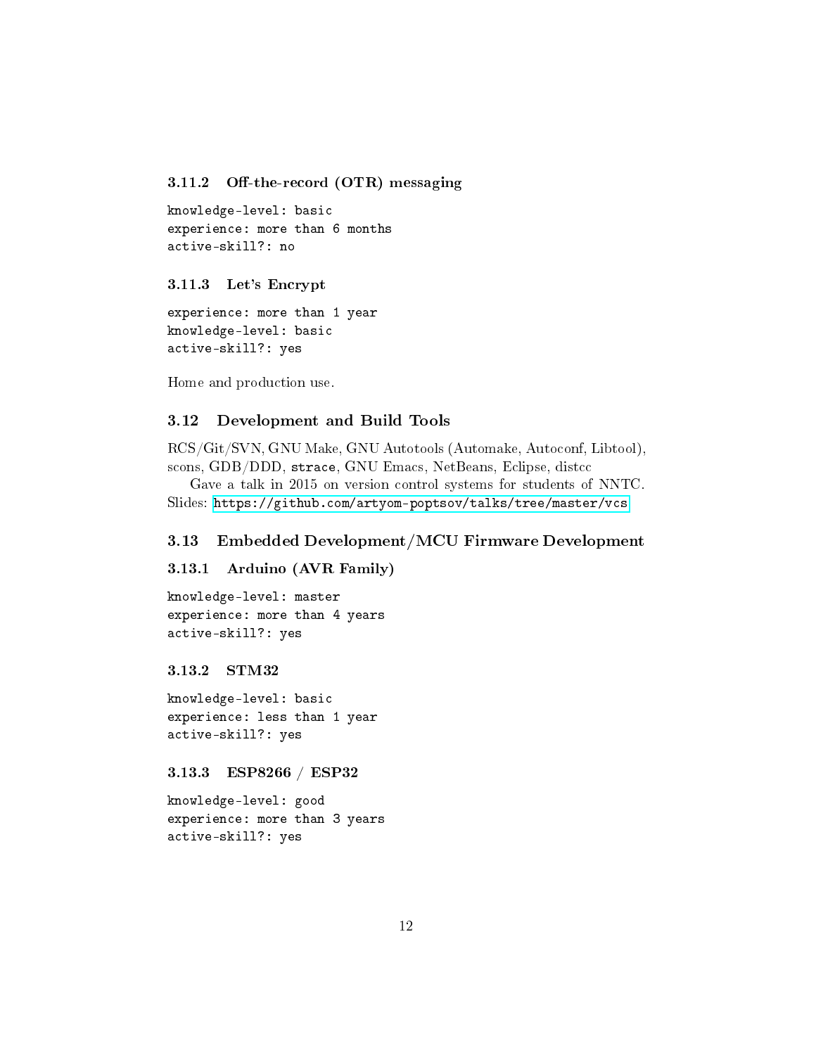#### <span id="page-11-0"></span>3.11.2 Off-the-record  $(OTR)$  messaging

knowledge-level: basic experience: more than 6 months active-skill?: no

#### <span id="page-11-1"></span>3.11.3 Let's Encrypt

experience: more than 1 year knowledge-level: basic active-skill?: yes

Home and production use.

## <span id="page-11-2"></span>3.12 Development and Build Tools

RCS/Git/SVN, GNU Make, GNU Autotools (Automake, Autoconf, Libtool), scons, GDB/DDD, strace, GNU Emacs, NetBeans, Eclipse, distcc

Gave a talk in 2015 on version control systems for students of NNTC. Slides: <https://github.com/artyom-poptsov/talks/tree/master/vcs>

#### <span id="page-11-3"></span>3.13 Embedded Development/MCU Firmware Development

<span id="page-11-4"></span>3.13.1 Arduino (AVR Family)

knowledge-level: master experience: more than 4 years active-skill?: yes

<span id="page-11-5"></span>3.13.2 STM32

knowledge-level: basic experience: less than 1 year active-skill?: yes

<span id="page-11-6"></span>3.13.3 ESP8266 / ESP32

knowledge-level: good experience: more than 3 years active-skill?: yes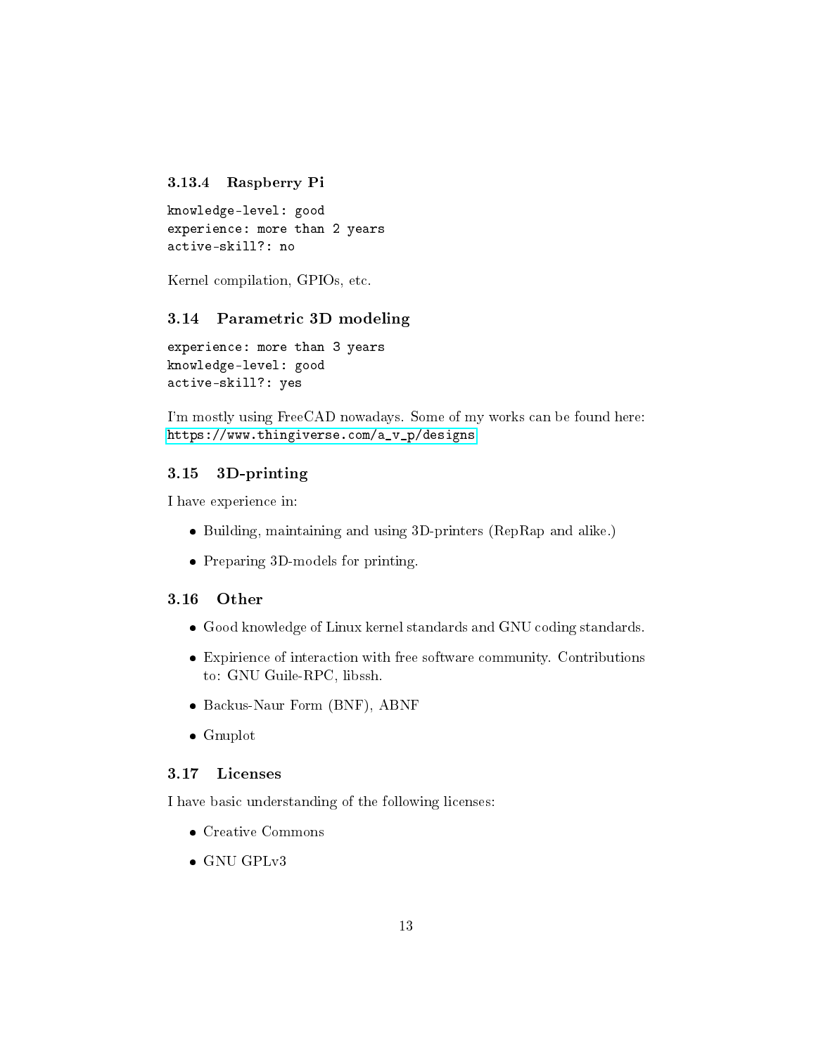#### <span id="page-12-0"></span>3.13.4 Raspberry Pi

knowledge-level: good experience: more than 2 years active-skill?: no

Kernel compilation, GPIOs, etc.

### <span id="page-12-1"></span>3.14 Parametric 3D modeling

experience: more than 3 years knowledge-level: good active-skill?: yes

I'm mostly using FreeCAD nowadays. Some of my works can be found here: [https://www.thingiverse.com/a\\_v\\_p/designs](https://www.thingiverse.com/a_v_p/designs)

### <span id="page-12-2"></span>3.15 3D-printing

I have experience in:

- Building, maintaining and using 3D-printers (RepRap and alike.)
- Preparing 3D-models for printing.

#### <span id="page-12-3"></span>3.16 Other

- Good knowledge of Linux kernel standards and GNU coding standards.
- Expirience of interaction with free software community. Contributions to: GNU Guile-RPC, libssh.
- Backus-Naur Form (BNF), ABNF
- Gnuplot

#### <span id="page-12-4"></span>3.17 Licenses

I have basic understanding of the following licenses:

- Creative Commons
- GNU GPLv3